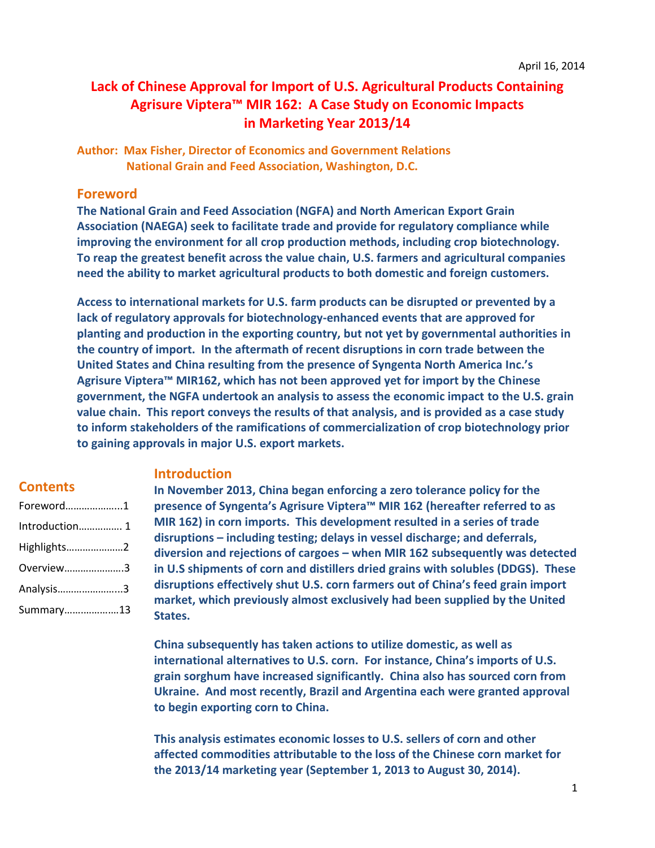# **Lack of Chinese Approval for Import of U.S. Agricultural Products Containing Agrisure Viptera™ MIR 162: A Case Study on Economic Impacts in Marketing Year 2013/14**

**Author: Max Fisher, Director of Economics and Government Relations National Grain and Feed Association, Washington, D.C.**

# **Foreword**

**The National Grain and Feed Association (NGFA) and North American Export Grain Association (NAEGA) seek to facilitate trade and provide for regulatory compliance while improving the environment for all crop production methods, including crop biotechnology. To reap the greatest benefit across the value chain, U.S. farmers and agricultural companies need the ability to market agricultural products to both domestic and foreign customers.** 

**Access to international markets for U.S. farm products can be disrupted or prevented by a lack of regulatory approvals for biotechnology-enhanced events that are approved for planting and production in the exporting country, but not yet by governmental authorities in the country of import. In the aftermath of recent disruptions in corn trade between the United States and China resulting from the presence of Syngenta North America Inc.'s Agrisure Viptera™ MIR162, which has not been approved yet for import by the Chinese government, the NGFA undertook an analysis to assess the economic impact to the U.S. grain value chain. This report conveys the results of that analysis, and is provided as a case study to inform stakeholders of the ramifications of commercialization of crop biotechnology prior to gaining approvals in major U.S. export markets.**

# **Contents**

| Foreword1      |
|----------------|
| Introduction 1 |
| Highlights2    |
| Overview3      |
| Analysis3      |
| Summary13      |

# **Introduction**

**In November 2013, China began enforcing a zero tolerance policy for the presence of Syngenta's Agrisure Viptera™ MIR 162 (hereafter referred to as MIR 162) in corn imports. This development resulted in a series of trade disruptions – including testing; delays in vessel discharge; and deferrals, diversion and rejections of cargoes – when MIR 162 subsequently was detected in U.S shipments of corn and distillers dried grains with solubles (DDGS). These disruptions effectively shut U.S. corn farmers out of China's feed grain import market, which previously almost exclusively had been supplied by the United States.** 

**China subsequently has taken actions to utilize domestic, as well as international alternatives to U.S. corn. For instance, China's imports of U.S. grain sorghum have increased significantly. China also has sourced corn from Ukraine. And most recently, Brazil and Argentina each were granted approval to begin exporting corn to China.**

**This analysis estimates economic losses to U.S. sellers of corn and other affected commodities attributable to the loss of the Chinese corn market for the 2013/14 marketing year (September 1, 2013 to August 30, 2014).**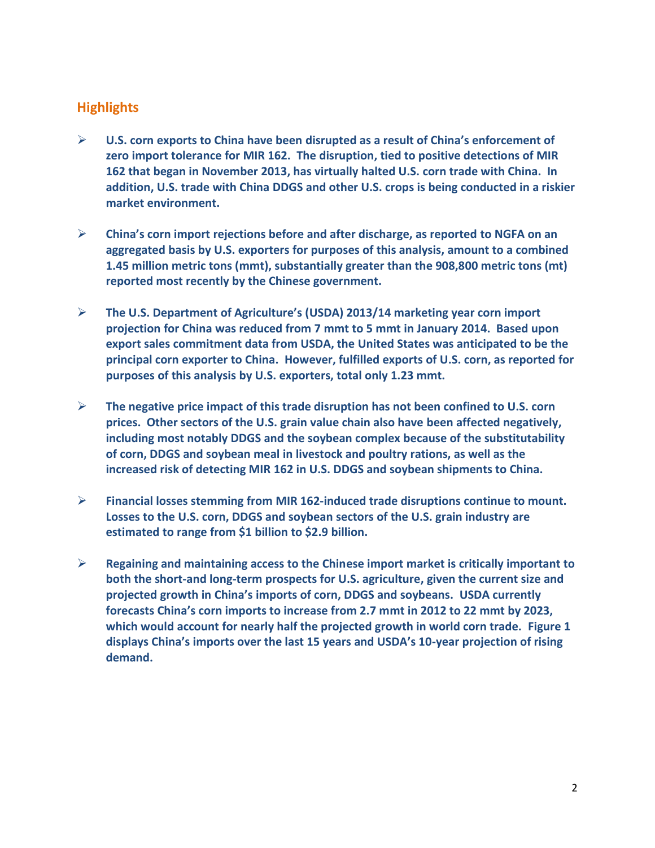# **Highlights**

- **U.S. corn exports to China have been disrupted as a result of China's enforcement of zero import tolerance for MIR 162. The disruption, tied to positive detections of MIR 162 that began in November 2013, has virtually halted U.S. corn trade with China. In addition, U.S. trade with China DDGS and other U.S. crops is being conducted in a riskier market environment.**
- **China's corn import rejections before and after discharge, as reported to NGFA on an aggregated basis by U.S. exporters for purposes of this analysis, amount to a combined 1.45 million metric tons (mmt), substantially greater than the 908,800 metric tons (mt) reported most recently by the Chinese government.**
- **The U.S. Department of Agriculture's (USDA) 2013/14 marketing year corn import projection for China was reduced from 7 mmt to 5 mmt in January 2014. Based upon export sales commitment data from USDA, the United States was anticipated to be the principal corn exporter to China. However, fulfilled exports of U.S. corn, as reported for purposes of this analysis by U.S. exporters, total only 1.23 mmt.**
- **The negative price impact of this trade disruption has not been confined to U.S. corn prices. Other sectors of the U.S. grain value chain also have been affected negatively, including most notably DDGS and the soybean complex because of the substitutability of corn, DDGS and soybean meal in livestock and poultry rations, as well as the increased risk of detecting MIR 162 in U.S. DDGS and soybean shipments to China.**
- **Financial losses stemming from MIR 162-induced trade disruptions continue to mount. Losses to the U.S. corn, DDGS and soybean sectors of the U.S. grain industry are estimated to range from \$1 billion to \$2.9 billion.**
- **Regaining and maintaining access to the Chinese import market is critically important to both the short-and long-term prospects for U.S. agriculture, given the current size and projected growth in China's imports of corn, DDGS and soybeans. USDA currently forecasts China's corn imports to increase from 2.7 mmt in 2012 to 22 mmt by 2023, which would account for nearly half the projected growth in world corn trade. Figure 1 displays China's imports over the last 15 years and USDA's 10-year projection of rising demand.**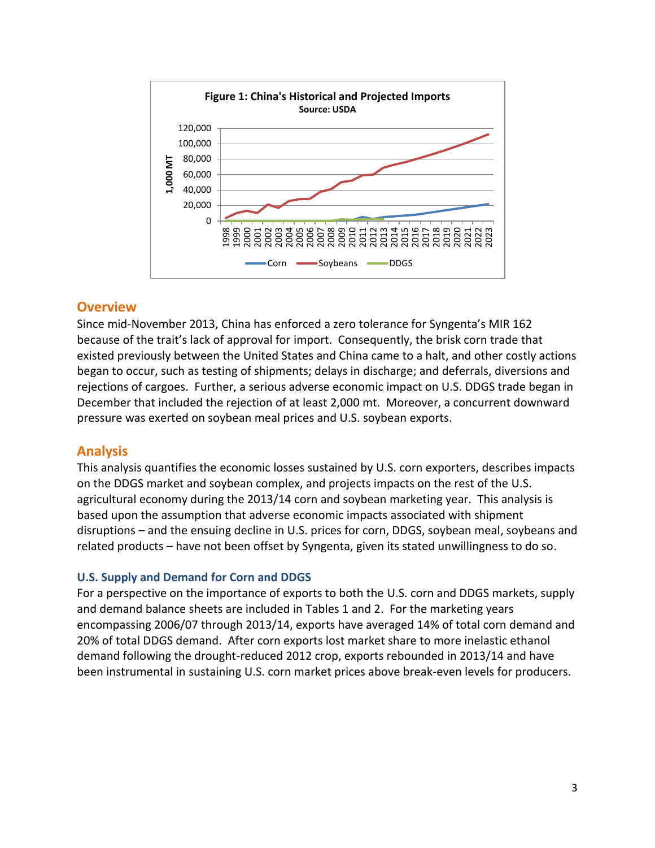

# **Overview**

Since mid-November 2013, China has enforced a zero tolerance for Syngenta's MIR 162 because of the trait's lack of approval for import. Consequently, the brisk corn trade that existed previously between the United States and China came to a halt, and other costly actions began to occur, such as testing of shipments; delays in discharge; and deferrals, diversions and rejections of cargoes. Further, a serious adverse economic impact on U.S. DDGS trade began in December that included the rejection of at least 2,000 mt. Moreover, a concurrent downward pressure was exerted on soybean meal prices and U.S. soybean exports.

# **Analysis**

This analysis quantifies the economic losses sustained by U.S. corn exporters, describes impacts on the DDGS market and soybean complex, and projects impacts on the rest of the U.S. agricultural economy during the 2013/14 corn and soybean marketing year. This analysis is based upon the assumption that adverse economic impacts associated with shipment disruptions – and the ensuing decline in U.S. prices for corn, DDGS, soybean meal, soybeans and related products – have not been offset by Syngenta, given its stated unwillingness to do so.

# **U.S. Supply and Demand for Corn and DDGS**

For a perspective on the importance of exports to both the U.S. corn and DDGS markets, supply and demand balance sheets are included in Tables 1 and 2. For the marketing years encompassing 2006/07 through 2013/14, exports have averaged 14% of total corn demand and 20% of total DDGS demand. After corn exports lost market share to more inelastic ethanol demand following the drought-reduced 2012 crop, exports rebounded in 2013/14 and have been instrumental in sustaining U.S. corn market prices above break-even levels for producers.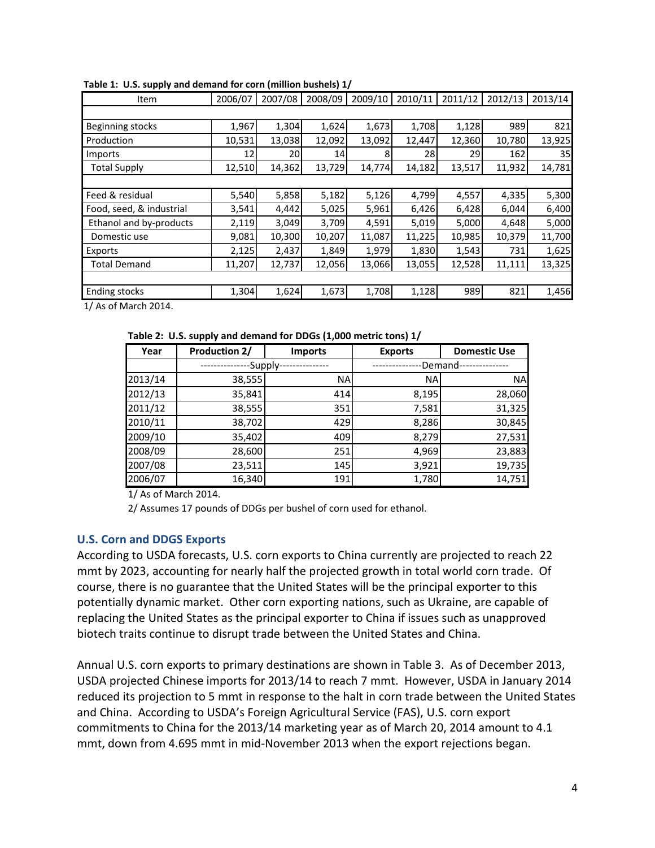| Item                     | 2006/07 | 2007/08 | 2008/09 | 2009/10 | 2010/11 | 2011/12 | 2012/13 | 2013/14 |  |
|--------------------------|---------|---------|---------|---------|---------|---------|---------|---------|--|
|                          |         |         |         |         |         |         |         |         |  |
| Beginning stocks         | 1,967   | 1,304   | 1,624   | 1,673   | 1,708   | 1,128   | 989     | 821     |  |
| Production               | 10,531  | 13,038  | 12,092  | 13,092  | 12,447  | 12,360  | 10,780  | 13,925  |  |
| Imports                  | 12      | 20      | 14      | 8       | 28      | 29      | 162     | 35      |  |
| <b>Total Supply</b>      | 12,510  | 14,362  | 13,729  | 14,774  | 14,182  | 13,517  | 11,932  | 14,781  |  |
|                          |         |         |         |         |         |         |         |         |  |
| Feed & residual          | 5,540   | 5,858   | 5,182   | 5,126   | 4,799   | 4,557   | 4,335   | 5,300   |  |
| Food, seed, & industrial | 3,541   | 4,442   | 5,025   | 5,961   | 6,426   | 6,428   | 6,044   | 6,400   |  |
| Ethanol and by-products  | 2,119   | 3,049   | 3,709   | 4,591   | 5,019   | 5,000   | 4,648   | 5,000   |  |
| Domestic use             | 9,081   | 10,300  | 10,207  | 11,087  | 11,225  | 10,985  | 10,379  | 11,700  |  |
| Exports                  | 2,125   | 2,437   | 1,849   | 1,979   | 1,830   | 1,543   | 731     | 1,625   |  |
| <b>Total Demand</b>      | 11,207  | 12,737  | 12,056  | 13,066  | 13,055  | 12,528  | 11,111  | 13,325  |  |
|                          |         |         |         |         |         |         |         |         |  |
| <b>Ending stocks</b>     | 1,304   | 1,624   | 1,673   | 1,708   | 1,128   | 989     | 821     | 1,456   |  |

**Table 1: U.S. supply and demand for corn (million bushels) 1/**

1/ As of March 2014.

**Table 2: U.S. supply and demand for DDGs (1,000 metric tons) 1/**

| Year    | <b>Production 2/</b> | <b>Exports</b><br><b>Imports</b> |                      | <b>Domestic Use</b> |
|---------|----------------------|----------------------------------|----------------------|---------------------|
|         | -Supply-             |                                  | -Demand <sub>'</sub> |                     |
| 2013/14 | 38,555               | <b>NA</b>                        | <b>NA</b>            | <b>NA</b>           |
| 2012/13 | 35,841               | 414                              | 8,195                | 28,060              |
| 2011/12 | 38,555               | 351                              | 7,581                | 31,325              |
| 2010/11 | 38,702               | 429                              | 8,286                | 30,845              |
| 2009/10 | 35,402               | 409                              | 8,279                | 27,531              |
| 2008/09 | 28,600               | 251                              | 4,969                | 23,883              |
| 2007/08 | 23,511               | 145                              | 3,921                | 19,735              |
| 2006/07 | 16,340               | 191                              | 1,780                | 14,751              |

1/ As of March 2014.

2/ Assumes 17 pounds of DDGs per bushel of corn used for ethanol.

## **U.S. Corn and DDGS Exports**

According to USDA forecasts, U.S. corn exports to China currently are projected to reach 22 mmt by 2023, accounting for nearly half the projected growth in total world corn trade. Of course, there is no guarantee that the United States will be the principal exporter to this potentially dynamic market. Other corn exporting nations, such as Ukraine, are capable of replacing the United States as the principal exporter to China if issues such as unapproved biotech traits continue to disrupt trade between the United States and China.

Annual U.S. corn exports to primary destinations are shown in Table 3. As of December 2013, USDA projected Chinese imports for 2013/14 to reach 7 mmt. However, USDA in January 2014 reduced its projection to 5 mmt in response to the halt in corn trade between the United States and China. According to USDA's Foreign Agricultural Service (FAS), U.S. corn export commitments to China for the 2013/14 marketing year as of March 20, 2014 amount to 4.1 mmt, down from 4.695 mmt in mid-November 2013 when the export rejections began.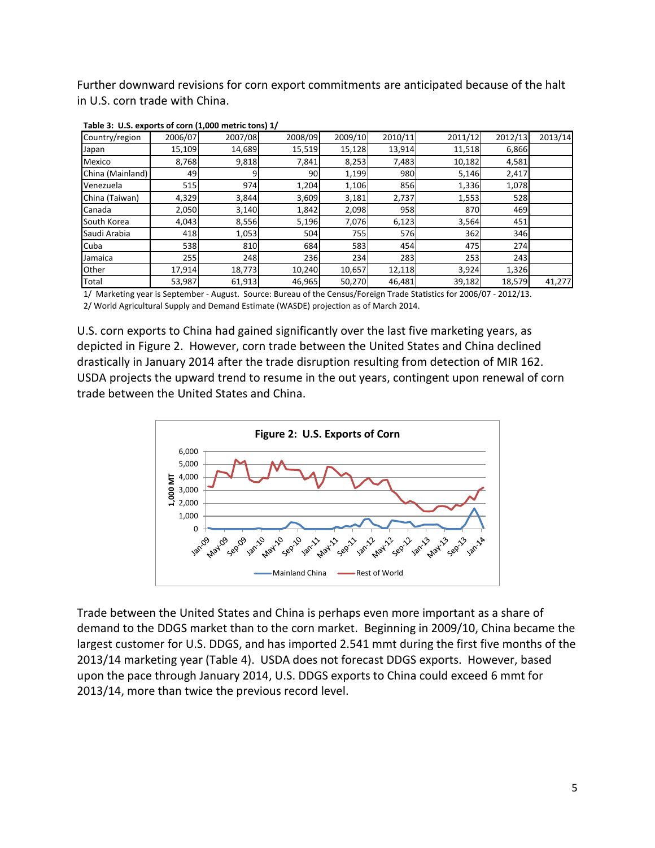Further downward revisions for corn export commitments are anticipated because of the halt in U.S. corn trade with China.

| Country/region   | 2006/07 | 2007/08 | 2008/09 | 2009/10 | 2010/11 | 2011/12 | 2012/13 | 2013/14 |
|------------------|---------|---------|---------|---------|---------|---------|---------|---------|
| Japan            | 15,109  | 14,689  | 15,519  | 15,128  | 13,914  | 11,518  | 6,866   |         |
| Mexico           | 8,768   | 9,818   | 7,841   | 8,253   | 7,483   | 10,182  | 4,581   |         |
| China (Mainland) | 49      | 9       | 90      | 1,199   | 980     | 5,146   | 2,417   |         |
| Venezuela        | 515     | 974     | 1,204   | 1,106   | 856     | 1,336   | 1,078   |         |
| China (Taiwan)   | 4,329   | 3,844   | 3,609   | 3,181   | 2,737   | 1,553   | 528     |         |
| Canada           | 2,050   | 3,140   | 1,842   | 2,098   | 958     | 870     | 469     |         |
| South Korea      | 4,043   | 8,556   | 5,196   | 7,076   | 6,123   | 3,564   | 451     |         |
| Saudi Arabia     | 418     | 1,053   | 504     | 755     | 576     | 362     | 346     |         |
| Cuba             | 538     | 810     | 684     | 583     | 454     | 475     | 274     |         |
| Jamaica          | 255     | 248     | 236     | 234     | 283     | 253     | 243     |         |
| Other            | 17,914  | 18,773  | 10,240  | 10,657  | 12,118  | 3,924   | 1,326   |         |
| Total            | 53,987  | 61,913  | 46,965  | 50,270  | 46,481  | 39,182  | 18,579  | 41,277  |

**Table 3: U.S. exports of corn (1,000 metric tons) 1/**

1/ Marketing year is September - August. Source: Bureau of the Census/Foreign Trade Statistics for 2006/07 - 2012/13. 2/ World Agricultural Supply and Demand Estimate (WASDE) projection as of March 2014.

U.S. corn exports to China had gained significantly over the last five marketing years, as depicted in Figure 2. However, corn trade between the United States and China declined drastically in January 2014 after the trade disruption resulting from detection of MIR 162. USDA projects the upward trend to resume in the out years, contingent upon renewal of corn trade between the United States and China.



Trade between the United States and China is perhaps even more important as a share of demand to the DDGS market than to the corn market. Beginning in 2009/10, China became the largest customer for U.S. DDGS, and has imported 2.541 mmt during the first five months of the 2013/14 marketing year (Table 4). USDA does not forecast DDGS exports. However, based upon the pace through January 2014, U.S. DDGS exports to China could exceed 6 mmt for 2013/14, more than twice the previous record level.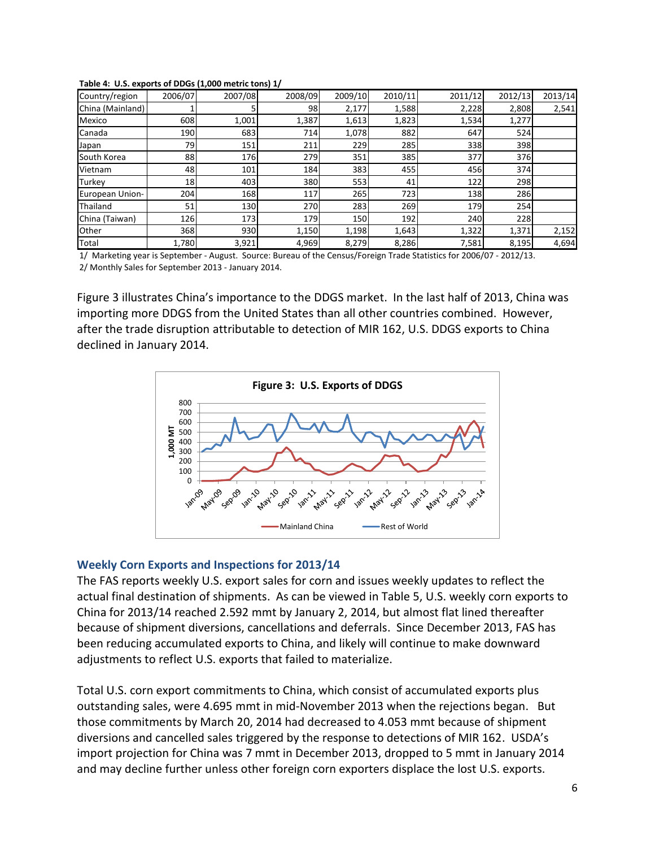| Country/region   | 2006/07 | 2007/08 | 2008/09 | 2009/10 | 2010/11 | 2011/12 | 2012/13 | 2013/14 |
|------------------|---------|---------|---------|---------|---------|---------|---------|---------|
| China (Mainland) |         |         | 98      | 2,177   | 1,588   | 2,228   | 2,808   | 2,541   |
| Mexico           | 608     | 1,001   | 1,387   | 1,613   | 1,823   | 1,534   | 1,277   |         |
| Canada           | 190     | 683     | 714     | 1,078   | 882     | 647     | 524     |         |
| Japan            | 79      | 151     | 211     | 229     | 285     | 338     | 398     |         |
| South Korea      | 88      | 176     | 279     | 351     | 385     | 377     | 376     |         |
| Vietnam          | 48      | 101     | 184     | 383     | 455     | 456     | 374     |         |
| Turkey           | 18      | 403     | 380     | 553     | 41      | 122     | 298     |         |
| European Union-  | 204     | 168     | 117     | 265     | 723     | 138     | 286     |         |
| Thailand         | 51      | 130     | 270     | 283     | 269     | 179     | 254     |         |
| China (Taiwan)   | 126     | 173     | 179     | 150     | 192     | 240     | 228     |         |
| Other            | 368     | 930     | 1,150   | 1,198   | 1,643   | 1,322   | 1,371   | 2,152   |
| Total            | 1,780   | 3,921   | 4,969   | 8,279   | 8,286   | 7,581   | 8,195   | 4,694   |

#### **Table 4: U.S. exports of DDGs (1,000 metric tons) 1/**

2/ Monthly Sales for September 2013 - January 2014. 1/ Marketing year is September - August. Source: Bureau of the Census/Foreign Trade Statistics for 2006/07 - 2012/13.

Figure 3 illustrates China's importance to the DDGS market. In the last half of 2013, China was importing more DDGS from the United States than all other countries combined. However, after the trade disruption attributable to detection of MIR 162, U.S. DDGS exports to China declined in January 2014.



#### **Weekly Corn Exports and Inspections for 2013/14**

The FAS reports weekly U.S. export sales for corn and issues weekly updates to reflect the actual final destination of shipments. As can be viewed in Table 5, U.S. weekly corn exports to China for 2013/14 reached 2.592 mmt by January 2, 2014, but almost flat lined thereafter because of shipment diversions, cancellations and deferrals. Since December 2013, FAS has been reducing accumulated exports to China, and likely will continue to make downward adjustments to reflect U.S. exports that failed to materialize.

Total U.S. corn export commitments to China, which consist of accumulated exports plus outstanding sales, were 4.695 mmt in mid-November 2013 when the rejections began. But those commitments by March 20, 2014 had decreased to 4.053 mmt because of shipment diversions and cancelled sales triggered by the response to detections of MIR 162. USDA's import projection for China was 7 mmt in December 2013, dropped to 5 mmt in January 2014 and may decline further unless other foreign corn exporters displace the lost U.S. exports.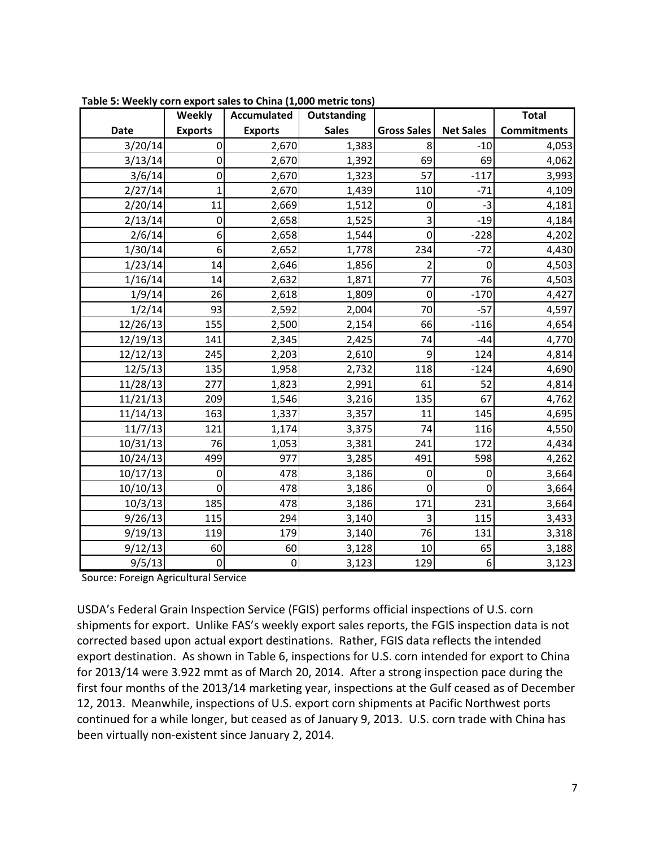|             | Weekly         | <b>Accumulated</b> | Outstanding  |                    |                  | <b>Total</b>       |
|-------------|----------------|--------------------|--------------|--------------------|------------------|--------------------|
| <b>Date</b> | <b>Exports</b> | <b>Exports</b>     | <b>Sales</b> | <b>Gross Sales</b> | <b>Net Sales</b> | <b>Commitments</b> |
| 3/20/14     | $\Omega$       | 2,670              | 1,383        | 8                  | $-10$            | 4,053              |
| 3/13/14     | $\mathbf 0$    | 2,670              | 1,392        | 69                 | 69               | 4,062              |
| 3/6/14      | 0              | 2,670              | 1,323        | 57                 | $-117$           | 3,993              |
| 2/27/14     | 1              | 2,670              | 1,439        | 110                | $-71$            | 4,109              |
| 2/20/14     | 11             | 2,669              | 1,512        | 0                  | $-3$             | 4,181              |
| 2/13/14     | $\mathbf 0$    | 2,658              | 1,525        | 3                  | $-19$            | 4,184              |
| 2/6/14      | 6              | 2,658              | 1,544        | $\boldsymbol{0}$   | $-228$           | 4,202              |
| 1/30/14     | 6              | 2,652              | 1,778        | 234                | $-72$            | 4,430              |
| 1/23/14     | 14             | 2,646              | 1,856        | $\overline{2}$     | $\mathbf 0$      | 4,503              |
| 1/16/14     | 14             | 2,632              | 1,871        | 77                 | 76               | 4,503              |
| 1/9/14      | 26             | 2,618              | 1,809        | $\mathbf 0$        | $-170$           | 4,427              |
| 1/2/14      | 93             | 2,592              | 2,004        | 70                 | $-57$            | 4,597              |
| 12/26/13    | 155            | 2,500              | 2,154        | 66                 | $-116$           | 4,654              |
| 12/19/13    | 141            | 2,345              | 2,425        | 74                 | $-44$            | 4,770              |
| 12/12/13    | 245            | 2,203              | 2,610        | 9                  | 124              | 4,814              |
| 12/5/13     | 135            | 1,958              | 2,732        | 118                | $-124$           | 4,690              |
| 11/28/13    | 277            | 1,823              | 2,991        | 61                 | 52               | 4,814              |
| 11/21/13    | 209            | 1,546              | 3,216        | 135                | 67               | 4,762              |
| 11/14/13    | 163            | 1,337              | 3,357        | 11                 | 145              | 4,695              |
| 11/7/13     | 121            | 1,174              | 3,375        | 74                 | 116              | 4,550              |
| 10/31/13    | 76             | 1,053              | 3,381        | 241                | 172              | 4,434              |
| 10/24/13    | 499            | 977                | 3,285        | 491                | 598              | 4,262              |
| 10/17/13    | $\mathbf 0$    | 478                | 3,186        | 0                  | 0                | 3,664              |
| 10/10/13    | $\overline{0}$ | 478                | 3,186        | $\mathbf 0$        | $\Omega$         | 3,664              |
| 10/3/13     | 185            | 478                | 3,186        | 171                | 231              | 3,664              |
| 9/26/13     | 115            | 294                | 3,140        | 3                  | 115              | 3,433              |
| 9/19/13     | 119            | 179                | 3,140        | 76                 | 131              | 3,318              |
| 9/12/13     | 60             | 60                 | 3,128        | 10                 | 65               | 3,188              |
| 9/5/13      | $\overline{0}$ | $\pmb{0}$          | 3,123        | 129                | $\boldsymbol{6}$ | 3,123              |

**Table 5: Weekly corn export sales to China (1,000 metric tons)**

Source: Foreign Agricultural Service

USDA's Federal Grain Inspection Service (FGIS) performs official inspections of U.S. corn shipments for export. Unlike FAS's weekly export sales reports, the FGIS inspection data is not corrected based upon actual export destinations. Rather, FGIS data reflects the intended export destination. As shown in Table 6, inspections for U.S. corn intended for export to China for 2013/14 were 3.922 mmt as of March 20, 2014. After a strong inspection pace during the first four months of the 2013/14 marketing year, inspections at the Gulf ceased as of December 12, 2013. Meanwhile, inspections of U.S. export corn shipments at Pacific Northwest ports continued for a while longer, but ceased as of January 9, 2013. U.S. corn trade with China has been virtually non-existent since January 2, 2014.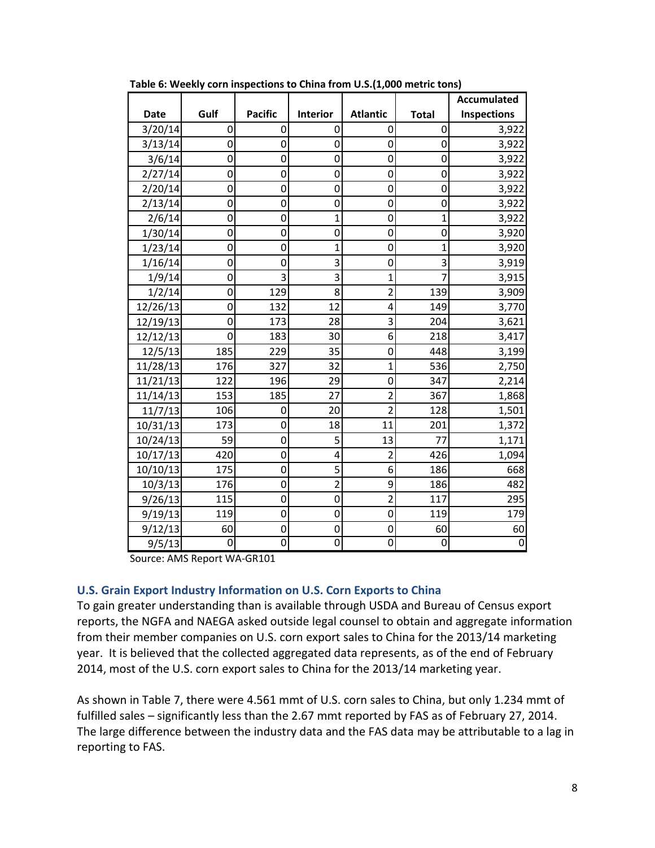|             |                |                |                 |                 |                | <b>Accumulated</b> |
|-------------|----------------|----------------|-----------------|-----------------|----------------|--------------------|
| <b>Date</b> | Gulf           | <b>Pacific</b> | <b>Interior</b> | <b>Atlantic</b> | <b>Total</b>   | <b>Inspections</b> |
| 3/20/14     | 0              | 0              | 0               | 0               | 0              | 3,922              |
| 3/13/14     | $\overline{0}$ | 0              | $\overline{0}$  | 0               | 0              | 3,922              |
| 3/6/14      | $\mathbf 0$    | 0              | 0               | 0               | 0              | 3,922              |
| 2/27/14     | 0              | 0              | 0               | 0               | $\overline{0}$ | 3,922              |
| 2/20/14     | $\overline{0}$ | 0              | O               | $\overline{0}$  | O              | 3,922              |
| 2/13/14     | 0              | 0              | 0               | 0               | 0              | 3,922              |
| 2/6/14      | $\overline{0}$ | 0              | 1               | $\overline{0}$  | $\overline{1}$ | 3,922              |
| 1/30/14     | $\overline{0}$ | 0              | $\overline{0}$  | 0               | O              | 3,920              |
| 1/23/14     | 0              | 0              | 1               | 0               | 1              | 3,920              |
| 1/16/14     | $\overline{0}$ | 0              | 3               | 0               | 3              | 3,919              |
| 1/9/14      | $\overline{0}$ | 3              | 3               | $\overline{1}$  | 7              | 3,915              |
| 1/2/14      | $\overline{0}$ | 129            | 8               | $\overline{2}$  | 139            | 3,909              |
| 12/26/13    | $\overline{0}$ | 132            | 12              | 4               | 149            | 3,770              |
| 12/19/13    | $\overline{0}$ | 173            | 28              | 3               | 204            | 3,621              |
| 12/12/13    | 0              | 183            | 30              | 6               | 218            | 3,417              |
| 12/5/13     | 185            | 229            | 35              | 0               | 448            | 3,199              |
| 11/28/13    | 176            | 327            | 32              | $\overline{1}$  | 536            | 2,750              |
| 11/21/13    | 122            | 196            | 29              | 0               | 347            | 2,214              |
| 11/14/13    | 153            | 185            | 27              | $\overline{2}$  | 367            | 1,868              |
| 11/7/13     | 106            | 0              | 20              | $\overline{2}$  | 128            | 1,501              |
| 10/31/13    | 173            | 0              | 18              | 11              | 201            | 1,372              |
| 10/24/13    | 59             | 0              | 5               | 13              | 77             | 1,171              |
| 10/17/13    | 420            | 0              | 4               | $\overline{2}$  | 426            | 1,094              |
| 10/10/13    | 175            | 0              | 5               | 6               | 186            | 668                |
| 10/3/13     | 176            | 0              | $\overline{2}$  | 9               | 186            | 482                |
| 9/26/13     | 115            | 0              | 0               | $\overline{2}$  | 117            | 295                |
| 9/19/13     | 119            | 0              | $\overline{0}$  | $\overline{0}$  | 119            | 179                |
| 9/12/13     | 60             | 0              | 0               | 0               | 60             | 60                 |
| 9/5/13      | 0              | 0              | 0               | 0               | $\mathbf 0$    | $\mathbf 0$        |

**Table 6: Weekly corn inspections to China from U.S.(1,000 metric tons)**

Source: AMS Report WA-GR101

#### **U.S. Grain Export Industry Information on U.S. Corn Exports to China**

To gain greater understanding than is available through USDA and Bureau of Census export reports, the NGFA and NAEGA asked outside legal counsel to obtain and aggregate information from their member companies on U.S. corn export sales to China for the 2013/14 marketing year. It is believed that the collected aggregated data represents, as of the end of February 2014, most of the U.S. corn export sales to China for the 2013/14 marketing year.

As shown in Table 7, there were 4.561 mmt of U.S. corn sales to China, but only 1.234 mmt of fulfilled sales – significantly less than the 2.67 mmt reported by FAS as of February 27, 2014. The large difference between the industry data and the FAS data may be attributable to a lag in reporting to FAS.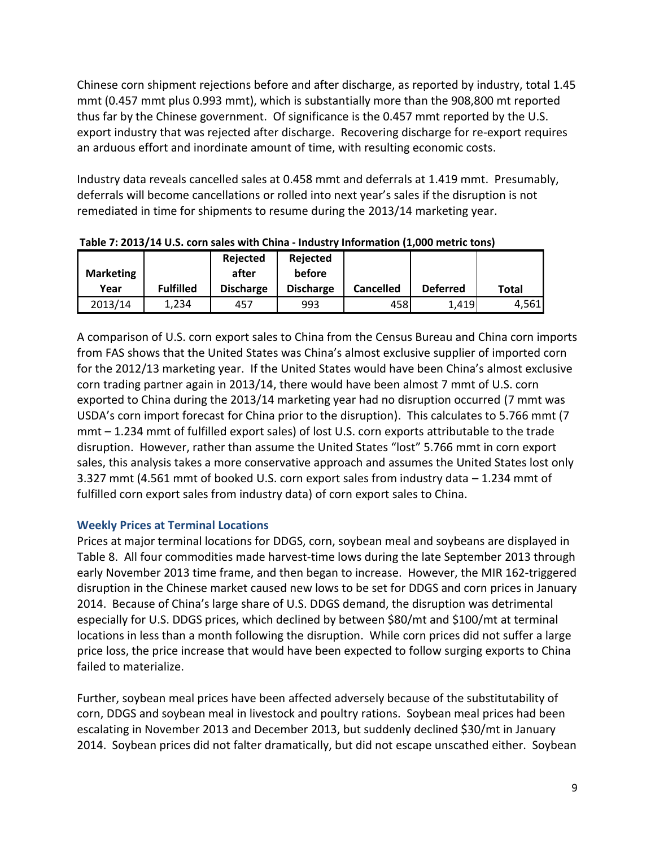Chinese corn shipment rejections before and after discharge, as reported by industry, total 1.45 mmt (0.457 mmt plus 0.993 mmt), which is substantially more than the 908,800 mt reported thus far by the Chinese government. Of significance is the 0.457 mmt reported by the U.S. export industry that was rejected after discharge. Recovering discharge for re-export requires an arduous effort and inordinate amount of time, with resulting economic costs.

Industry data reveals cancelled sales at 0.458 mmt and deferrals at 1.419 mmt. Presumably, deferrals will become cancellations or rolled into next year's sales if the disruption is not remediated in time for shipments to resume during the 2013/14 marketing year.

|                  |                  | Rejected         | Rejected         |                  |                 |       |
|------------------|------------------|------------------|------------------|------------------|-----------------|-------|
| <b>Marketing</b> |                  | after            | before           |                  |                 |       |
| Year             | <b>Fulfilled</b> | <b>Discharge</b> | <b>Discharge</b> | <b>Cancelled</b> | <b>Deferred</b> | Total |
| 2013/14          | L.234            | 457              | 993              | 458              | 1.419           | 4,561 |

**Table 7: 2013/14 U.S. corn sales with China - Industry Information (1,000 metric tons)**

A comparison of U.S. corn export sales to China from the Census Bureau and China corn imports from FAS shows that the United States was China's almost exclusive supplier of imported corn for the 2012/13 marketing year. If the United States would have been China's almost exclusive corn trading partner again in 2013/14, there would have been almost 7 mmt of U.S. corn exported to China during the 2013/14 marketing year had no disruption occurred (7 mmt was USDA's corn import forecast for China prior to the disruption). This calculates to 5.766 mmt (7 mmt – 1.234 mmt of fulfilled export sales) of lost U.S. corn exports attributable to the trade disruption. However, rather than assume the United States "lost" 5.766 mmt in corn export sales, this analysis takes a more conservative approach and assumes the United States lost only 3.327 mmt (4.561 mmt of booked U.S. corn export sales from industry data – 1.234 mmt of fulfilled corn export sales from industry data) of corn export sales to China.

# **Weekly Prices at Terminal Locations**

Prices at major terminal locations for DDGS, corn, soybean meal and soybeans are displayed in Table 8. All four commodities made harvest-time lows during the late September 2013 through early November 2013 time frame, and then began to increase. However, the MIR 162-triggered disruption in the Chinese market caused new lows to be set for DDGS and corn prices in January 2014. Because of China's large share of U.S. DDGS demand, the disruption was detrimental especially for U.S. DDGS prices, which declined by between \$80/mt and \$100/mt at terminal locations in less than a month following the disruption. While corn prices did not suffer a large price loss, the price increase that would have been expected to follow surging exports to China failed to materialize.

Further, soybean meal prices have been affected adversely because of the substitutability of corn, DDGS and soybean meal in livestock and poultry rations. Soybean meal prices had been escalating in November 2013 and December 2013, but suddenly declined \$30/mt in January 2014. Soybean prices did not falter dramatically, but did not escape unscathed either. Soybean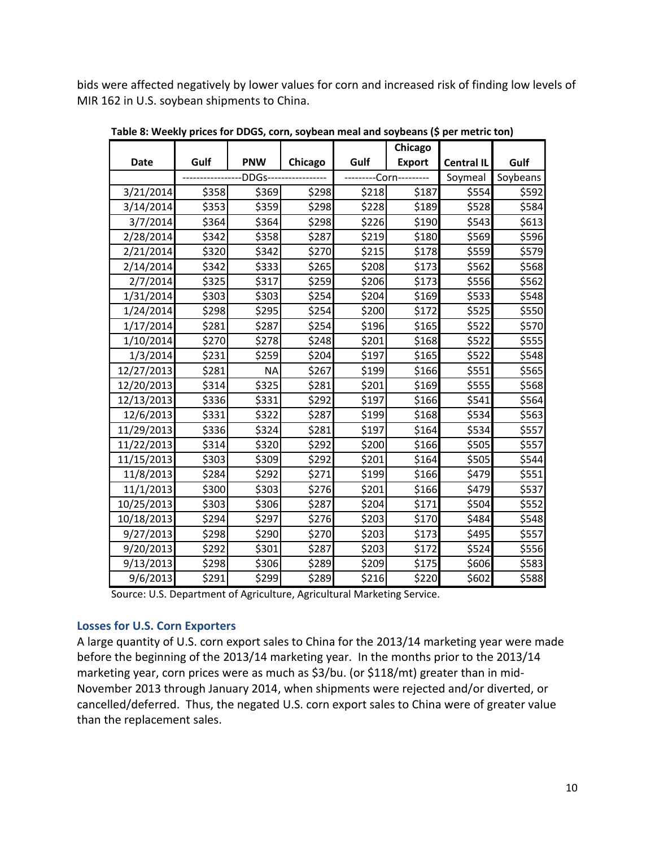bids were affected negatively by lower values for corn and increased risk of finding low levels of MIR 162 in U.S. soybean shipments to China.

|             |       |                  |         |       | Chicago         |                   |          |
|-------------|-------|------------------|---------|-------|-----------------|-------------------|----------|
| <b>Date</b> | Gulf  | <b>PNW</b>       | Chicago | Gulf  | <b>Export</b>   | <b>Central IL</b> | Gulf     |
|             |       | <b>DDGs-----</b> |         |       | --Corn--------- | Soymeal           | Soybeans |
| 3/21/2014   | \$358 | \$369            | \$298   | \$218 | \$187           | \$554             | \$592    |
| 3/14/2014   | \$353 | \$359            | \$298   | \$228 | \$189           | \$528             | \$584    |
| 3/7/2014    | \$364 | \$364            | \$298   | \$226 | \$190           | \$543]            | \$613    |
| 2/28/2014   | \$342 | \$358            | \$287   | \$219 | \$180           | \$569             | \$596    |
| 2/21/2014   | \$320 | \$342            | \$270   | \$215 | \$178           | \$559             | \$579    |
| 2/14/2014   | \$342 | \$333            | \$265   | \$208 | \$173           | \$562             | \$568    |
| 2/7/2014    | \$325 | \$317            | \$259   | \$206 | \$173           | \$556             | \$562    |
| 1/31/2014   | \$303 | \$303            | \$254   | \$204 | \$169           | \$533             | \$548    |
| 1/24/2014   | \$298 | \$295            | \$254   | \$200 | \$172           | \$525             | \$550    |
| 1/17/2014   | \$281 | \$287            | \$254   | \$196 | \$165           | \$522             | \$570    |
| 1/10/2014   | \$270 | \$278            | \$248   | \$201 | \$168           | \$522             | \$555    |
| 1/3/2014    | \$231 | \$259            | \$204   | \$197 | \$165           | \$522             | \$548    |
| 12/27/2013  | \$281 | <b>NA</b>        | \$267   | \$199 | \$166           | \$551             | \$565    |
| 12/20/2013  | \$314 | \$325            | \$281   | \$201 | \$169           | \$555             | \$568    |
| 12/13/2013  | \$336 | \$331            | \$292   | \$197 | \$166           | \$541             | \$564    |
| 12/6/2013   | \$331 | \$322            | \$287   | \$199 | \$168           | \$534             | \$563    |
| 11/29/2013  | \$336 | \$324            | \$281   | \$197 | \$164           | \$534             | \$557    |
| 11/22/2013  | \$314 | \$320            | \$292   | \$200 | \$166           | \$505             | \$557    |
| 11/15/2013  | \$303 | \$309            | \$292   | \$201 | \$164           | \$505             | \$544    |
| 11/8/2013   | \$284 | \$292            | \$271   | \$199 | \$166           | \$479             | \$551    |
| 11/1/2013   | \$300 | \$303            | \$276   | \$201 | \$166           | \$479             | \$537    |
| 10/25/2013  | \$303 | \$306            | \$287   | \$204 | \$171           | \$504             | \$552    |
| 10/18/2013  | \$294 | \$297            | \$276   | \$203 | \$170           | \$484             | \$548    |
| 9/27/2013   | \$298 | \$290            | \$270   | \$203 | \$173           | \$495             | \$557    |
| 9/20/2013   | \$292 | \$301            | \$287   | \$203 | \$172           | \$524             | \$556    |
| 9/13/2013   | \$298 | \$306            | \$289   | \$209 | \$175           | \$606             | \$583    |
| 9/6/2013    | \$291 | \$299            | \$289   | \$216 | \$220           | \$602             | \$588    |

**Table 8: Weekly prices for DDGS, corn, soybean meal and soybeans (\$ per metric ton)**

Source: U.S. Department of Agriculture, Agricultural Marketing Service.

## **Losses for U.S. Corn Exporters**

A large quantity of U.S. corn export sales to China for the 2013/14 marketing year were made before the beginning of the 2013/14 marketing year. In the months prior to the 2013/14 marketing year, corn prices were as much as \$3/bu. (or \$118/mt) greater than in mid-November 2013 through January 2014, when shipments were rejected and/or diverted, or cancelled/deferred. Thus, the negated U.S. corn export sales to China were of greater value than the replacement sales.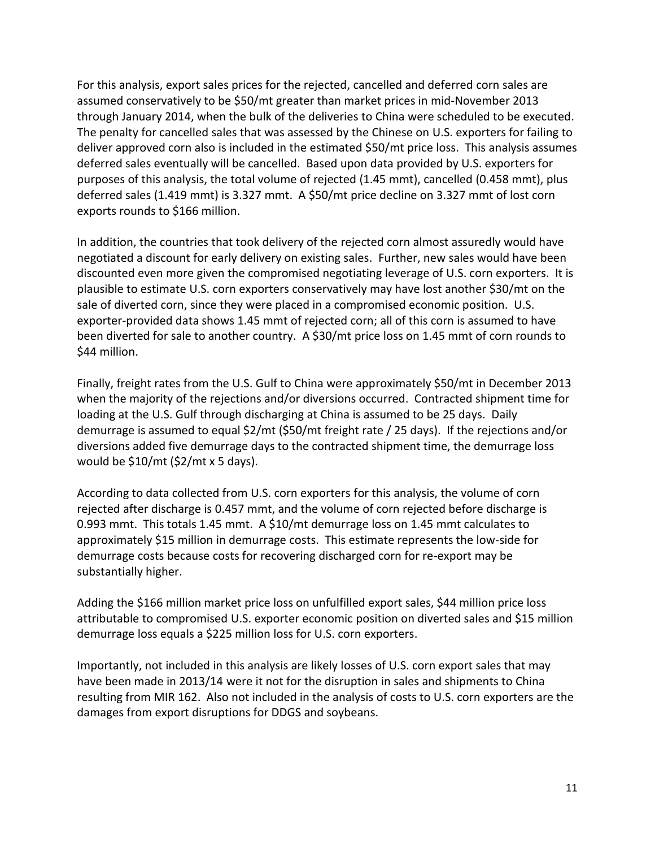For this analysis, export sales prices for the rejected, cancelled and deferred corn sales are assumed conservatively to be \$50/mt greater than market prices in mid-November 2013 through January 2014, when the bulk of the deliveries to China were scheduled to be executed. The penalty for cancelled sales that was assessed by the Chinese on U.S. exporters for failing to deliver approved corn also is included in the estimated \$50/mt price loss. This analysis assumes deferred sales eventually will be cancelled. Based upon data provided by U.S. exporters for purposes of this analysis, the total volume of rejected (1.45 mmt), cancelled (0.458 mmt), plus deferred sales (1.419 mmt) is 3.327 mmt. A \$50/mt price decline on 3.327 mmt of lost corn exports rounds to \$166 million.

In addition, the countries that took delivery of the rejected corn almost assuredly would have negotiated a discount for early delivery on existing sales. Further, new sales would have been discounted even more given the compromised negotiating leverage of U.S. corn exporters. It is plausible to estimate U.S. corn exporters conservatively may have lost another \$30/mt on the sale of diverted corn, since they were placed in a compromised economic position. U.S. exporter-provided data shows 1.45 mmt of rejected corn; all of this corn is assumed to have been diverted for sale to another country. A \$30/mt price loss on 1.45 mmt of corn rounds to \$44 million.

Finally, freight rates from the U.S. Gulf to China were approximately \$50/mt in December 2013 when the majority of the rejections and/or diversions occurred. Contracted shipment time for loading at the U.S. Gulf through discharging at China is assumed to be 25 days. Daily demurrage is assumed to equal \$2/mt (\$50/mt freight rate / 25 days). If the rejections and/or diversions added five demurrage days to the contracted shipment time, the demurrage loss would be \$10/mt (\$2/mt x 5 days).

According to data collected from U.S. corn exporters for this analysis, the volume of corn rejected after discharge is 0.457 mmt, and the volume of corn rejected before discharge is 0.993 mmt. This totals 1.45 mmt. A \$10/mt demurrage loss on 1.45 mmt calculates to approximately \$15 million in demurrage costs. This estimate represents the low-side for demurrage costs because costs for recovering discharged corn for re-export may be substantially higher.

Adding the \$166 million market price loss on unfulfilled export sales, \$44 million price loss attributable to compromised U.S. exporter economic position on diverted sales and \$15 million demurrage loss equals a \$225 million loss for U.S. corn exporters.

Importantly, not included in this analysis are likely losses of U.S. corn export sales that may have been made in 2013/14 were it not for the disruption in sales and shipments to China resulting from MIR 162. Also not included in the analysis of costs to U.S. corn exporters are the damages from export disruptions for DDGS and soybeans.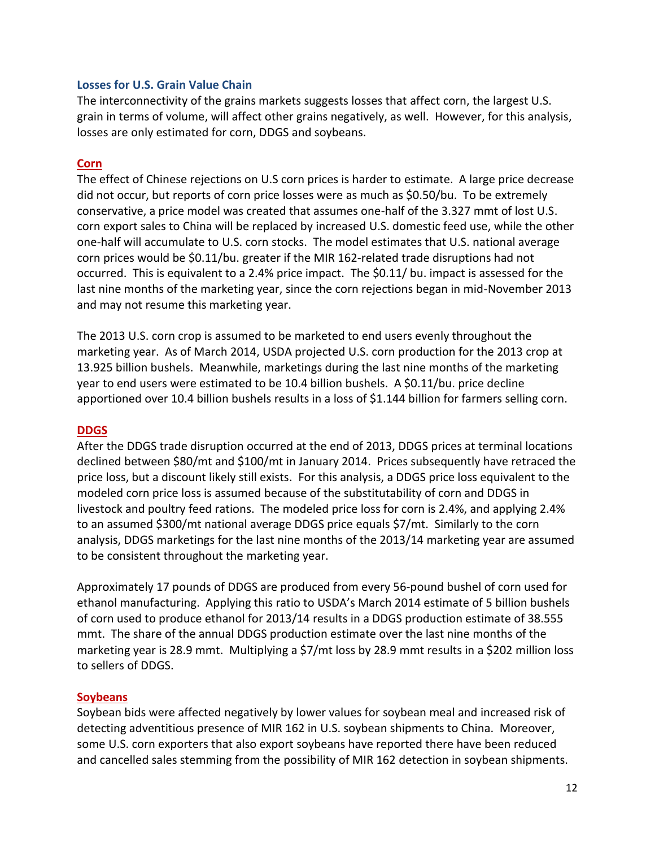### **Losses for U.S. Grain Value Chain**

The interconnectivity of the grains markets suggests losses that affect corn, the largest U.S. grain in terms of volume, will affect other grains negatively, as well. However, for this analysis, losses are only estimated for corn, DDGS and soybeans.

#### **Corn**

The effect of Chinese rejections on U.S corn prices is harder to estimate. A large price decrease did not occur, but reports of corn price losses were as much as \$0.50/bu. To be extremely conservative, a price model was created that assumes one-half of the 3.327 mmt of lost U.S. corn export sales to China will be replaced by increased U.S. domestic feed use, while the other one-half will accumulate to U.S. corn stocks. The model estimates that U.S. national average corn prices would be \$0.11/bu. greater if the MIR 162-related trade disruptions had not occurred. This is equivalent to a 2.4% price impact. The \$0.11/ bu. impact is assessed for the last nine months of the marketing year, since the corn rejections began in mid-November 2013 and may not resume this marketing year.

The 2013 U.S. corn crop is assumed to be marketed to end users evenly throughout the marketing year. As of March 2014, USDA projected U.S. corn production for the 2013 crop at 13.925 billion bushels. Meanwhile, marketings during the last nine months of the marketing year to end users were estimated to be 10.4 billion bushels. A \$0.11/bu. price decline apportioned over 10.4 billion bushels results in a loss of \$1.144 billion for farmers selling corn.

## **DDGS**

After the DDGS trade disruption occurred at the end of 2013, DDGS prices at terminal locations declined between \$80/mt and \$100/mt in January 2014. Prices subsequently have retraced the price loss, but a discount likely still exists. For this analysis, a DDGS price loss equivalent to the modeled corn price loss is assumed because of the substitutability of corn and DDGS in livestock and poultry feed rations. The modeled price loss for corn is 2.4%, and applying 2.4% to an assumed \$300/mt national average DDGS price equals \$7/mt. Similarly to the corn analysis, DDGS marketings for the last nine months of the 2013/14 marketing year are assumed to be consistent throughout the marketing year.

Approximately 17 pounds of DDGS are produced from every 56-pound bushel of corn used for ethanol manufacturing. Applying this ratio to USDA's March 2014 estimate of 5 billion bushels of corn used to produce ethanol for 2013/14 results in a DDGS production estimate of 38.555 mmt. The share of the annual DDGS production estimate over the last nine months of the marketing year is 28.9 mmt. Multiplying a \$7/mt loss by 28.9 mmt results in a \$202 million loss to sellers of DDGS.

#### **Soybeans**

Soybean bids were affected negatively by lower values for soybean meal and increased risk of detecting adventitious presence of MIR 162 in U.S. soybean shipments to China. Moreover, some U.S. corn exporters that also export soybeans have reported there have been reduced and cancelled sales stemming from the possibility of MIR 162 detection in soybean shipments.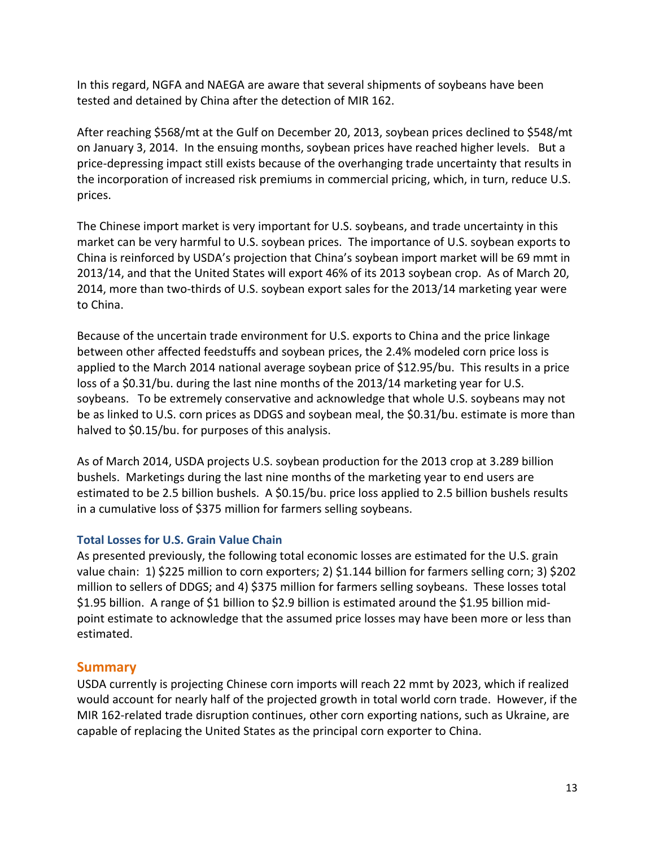In this regard, NGFA and NAEGA are aware that several shipments of soybeans have been tested and detained by China after the detection of MIR 162.

After reaching \$568/mt at the Gulf on December 20, 2013, soybean prices declined to \$548/mt on January 3, 2014. In the ensuing months, soybean prices have reached higher levels. But a price-depressing impact still exists because of the overhanging trade uncertainty that results in the incorporation of increased risk premiums in commercial pricing, which, in turn, reduce U.S. prices.

The Chinese import market is very important for U.S. soybeans, and trade uncertainty in this market can be very harmful to U.S. soybean prices. The importance of U.S. soybean exports to China is reinforced by USDA's projection that China's soybean import market will be 69 mmt in 2013/14, and that the United States will export 46% of its 2013 soybean crop. As of March 20, 2014, more than two-thirds of U.S. soybean export sales for the 2013/14 marketing year were to China.

Because of the uncertain trade environment for U.S. exports to China and the price linkage between other affected feedstuffs and soybean prices, the 2.4% modeled corn price loss is applied to the March 2014 national average soybean price of \$12.95/bu. This results in a price loss of a \$0.31/bu. during the last nine months of the 2013/14 marketing year for U.S. soybeans. To be extremely conservative and acknowledge that whole U.S. soybeans may not be as linked to U.S. corn prices as DDGS and soybean meal, the \$0.31/bu. estimate is more than halved to \$0.15/bu. for purposes of this analysis.

As of March 2014, USDA projects U.S. soybean production for the 2013 crop at 3.289 billion bushels. Marketings during the last nine months of the marketing year to end users are estimated to be 2.5 billion bushels. A \$0.15/bu. price loss applied to 2.5 billion bushels results in a cumulative loss of \$375 million for farmers selling soybeans.

## **Total Losses for U.S. Grain Value Chain**

As presented previously, the following total economic losses are estimated for the U.S. grain value chain: 1) \$225 million to corn exporters; 2) \$1.144 billion for farmers selling corn; 3) \$202 million to sellers of DDGS; and 4) \$375 million for farmers selling soybeans. These losses total \$1.95 billion. A range of \$1 billion to \$2.9 billion is estimated around the \$1.95 billion midpoint estimate to acknowledge that the assumed price losses may have been more or less than estimated.

# **Summary**

USDA currently is projecting Chinese corn imports will reach 22 mmt by 2023, which if realized would account for nearly half of the projected growth in total world corn trade. However, if the MIR 162-related trade disruption continues, other corn exporting nations, such as Ukraine, are capable of replacing the United States as the principal corn exporter to China.